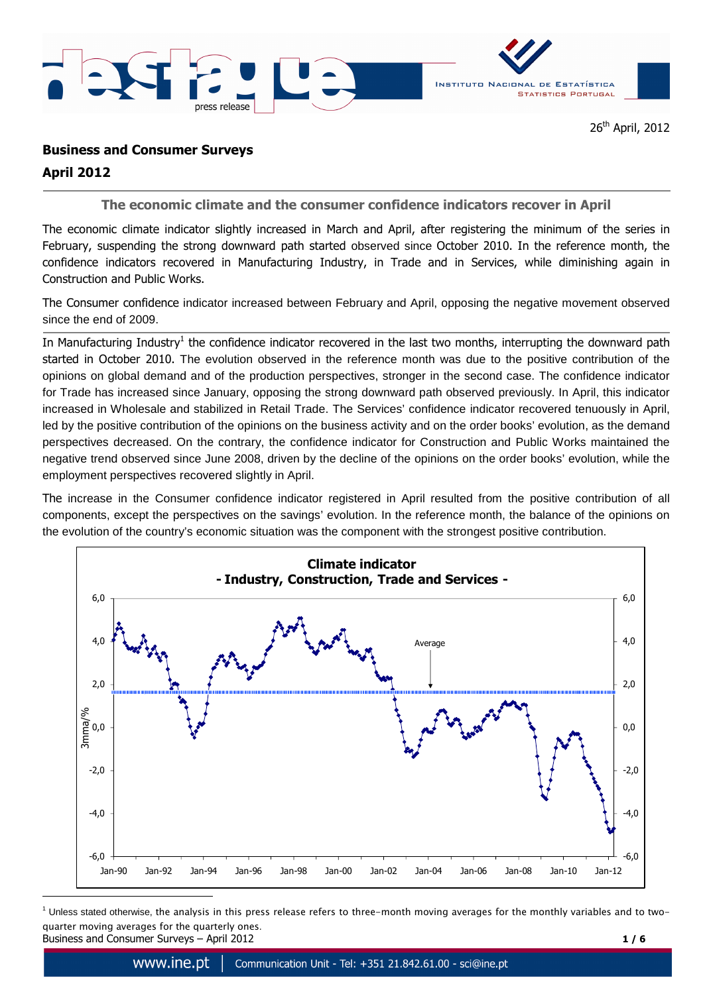



## **Business and Consumer Surveys**

# **April 2012**

 $\overline{a}$ 

**The economic climate and the consumer confidence indicators recover in April** 

The economic climate indicator slightly increased in March and April, after registering the minimum of the series in February, suspending the strong downward path started observed since October 2010. In the reference month, the confidence indicators recovered in Manufacturing Industry, in Trade and in Services, while diminishing again in Construction and Public Works.

The Consumer confidence indicator increased between February and April, opposing the negative movement observed since the end of 2009.

In Manufacturing Industry<sup>1</sup> the confidence indicator recovered in the last two months, interrupting the downward path started in October 2010. The evolution observed in the reference month was due to the positive contribution of the opinions on global demand and of the production perspectives, stronger in the second case. The confidence indicator for Trade has increased since January, opposing the strong downward path observed previously. In April, this indicator increased in Wholesale and stabilized in Retail Trade. The Services' confidence indicator recovered tenuously in April, led by the positive contribution of the opinions on the business activity and on the order books' evolution, as the demand perspectives decreased. On the contrary, the confidence indicator for Construction and Public Works maintained the negative trend observed since June 2008, driven by the decline of the opinions on the order books' evolution, while the employment perspectives recovered slightly in April.

The increase in the Consumer confidence indicator registered in April resulted from the positive contribution of all components, except the perspectives on the savings' evolution. In the reference month, the balance of the opinions on the evolution of the country's economic situation was the component with the strongest positive contribution.



Business and Consumer Surveys – April 2012 **1 / 6**   $^{\rm 1}$  Unless stated otherwise, the analysis in this press release refers to three–month moving averages for the monthly variables and to two– quarter moving averages for the quarterly ones.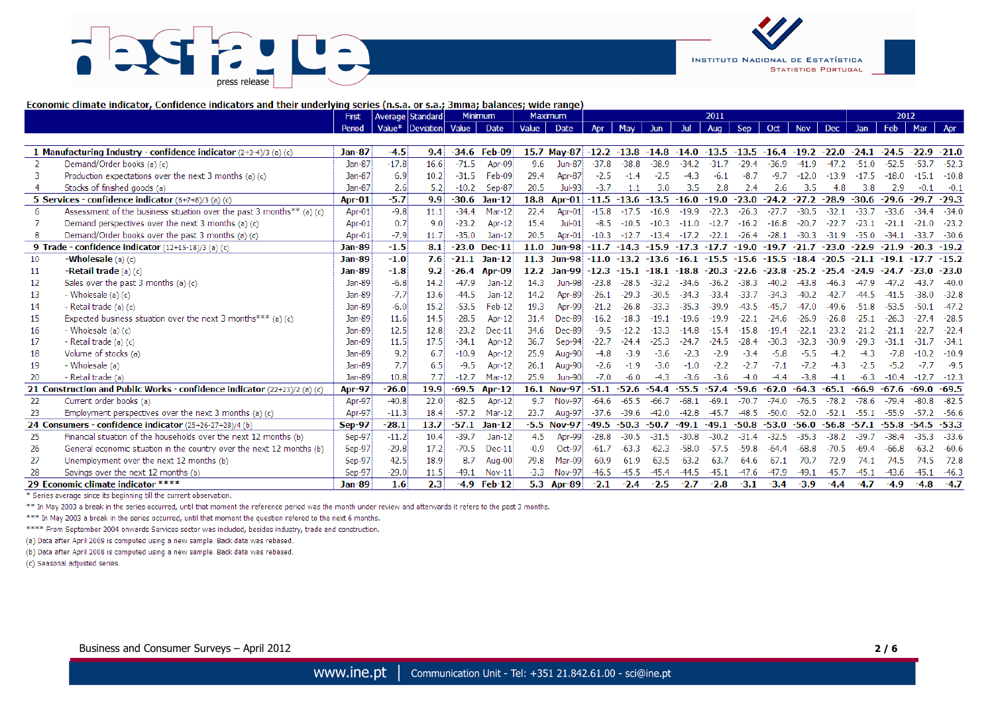



#### Economic climate indicator, Confidence indicators and their underlying series (n.s.a. or s.a.; 3mma; balances; wide range)

|    |                                                                           | <b>First</b>  | Average   Standard |                        |         | <b>Minimum</b>    |        | <b>Maximum</b>                                                                            |               |         |         |               | 2011           |            |               |            |               |         | 2012    |               |             |
|----|---------------------------------------------------------------------------|---------------|--------------------|------------------------|---------|-------------------|--------|-------------------------------------------------------------------------------------------|---------------|---------|---------|---------------|----------------|------------|---------------|------------|---------------|---------|---------|---------------|-------------|
|    |                                                                           | Period        |                    | Value* Deviation Value |         | Date              | Value  | Date                                                                                      | Apr           | May     | Jun     | Jul           | Aug            | <b>Sep</b> | Oct           | <b>Nov</b> | <b>Dec</b>    | Jan     | Feb     | Mar           | Apr         |
|    |                                                                           |               |                    |                        |         |                   |        |                                                                                           |               |         |         |               |                |            |               |            |               |         |         |               |             |
|    | 1 Manufacturing Industry - confidence indicator $(2+3-4)/3$ (a) (c)       | <b>Jan-87</b> | $-4.5$             | 9.4                    |         | $-34.6$ Feb $-09$ |        | 15.7 May-87 -12.2 -13.8 -14.8 -14.0 -13.5 -13.5 -16.4 -19.2 -22.0 -24.1 -24.5 -22.9 -21.0 |               |         |         |               |                |            |               |            |               |         |         |               |             |
|    | Demand/Order books (a) (c)                                                | Jan-87        | $-17.8$            | 16.6                   | $-71.5$ | Apr-09            | 9.6    | <b>Jun-87</b>                                                                             | $-37.8$       | $-38.8$ | $-38.9$ | $-34.2$       | $-31.7$        | $-29.4$    | $-36.9$       | $-41.9$    | $-47.2$       | $-51.0$ | $-52.5$ | $-53.7$       | $-52.3$     |
|    | Production expectations over the next 3 months (a) (c)                    | Jan-87        | 6.9                | 10.2                   | $-31.5$ | Feb-09            | 29.4   | Apr-87                                                                                    | $-2.5$        | $-1.4$  | $-2.5$  | $-4.3$        | $-6.1$         | $-8.7$     | $-9.7$        | $-12.0$    | $-13.9$       | $-17.5$ | $-18.0$ |               | $-10.8$     |
|    | Stocks of finished goods (a)                                              | Jan-87        | 2.6                | 5.2                    | $-10.2$ | Sep-87            | 20.5   | Jul-93                                                                                    | $-3.7$        | 1.1     | 3.0     | 3.5           | 2.8            | 2.4        | 2.6           | 3.5        | 4.8           | 3.8     | 2.9     | $-0.1$        | $-0.1$      |
|    | 5 Services - confidence indicator $(6+7+8)/3$ (a) (c)                     | Apr-01        | $-5.7$             | 9.9                    | $-30.6$ | $Jan-12$          | 18.8   | Apr-01                                                                                    | $-11.5 -13.6$ |         | $-13.5$ | $-16.0$       | $-19.0$        | $-23.0$    | $-24.2 -27.2$ |            | $-28.9$       | $-30.6$ | $-29.6$ | $-29.7$       | $-29.3$     |
|    | Assessment of the business situation over the past 3 months ** (a) (c)    | Apr-01        | $-9.8$             | 11.1                   | $-34.4$ | Mar-12            | 22.4   | Apr-01                                                                                    | $-15.8$       | $-17.5$ | $-16.9$ | $-19.9$       | $-22.3$        | $-26.3$    | $-27.7$       | $-30.5$    | $-32.1$       | $-33.7$ | $-33.6$ | $-34.4$       | $-34.0$     |
|    | Demand perspectives over the next 3 months (a) (c)                        | Apr-01        | 0.7                | 9.0                    | $-23.2$ | Apr-12            | 15.4   | $Jul-01$                                                                                  | $-8.5$        | $-10.5$ | $-10.3$ | $-11.0$       | $-12.7$        | $-16.2$    | $-16.8$       | $-20.7$    | $-22.7$       | $-23.1$ | $-21.1$ | $-21.0$       | $-23.2$     |
|    | Demand/Order books over the past 3 months (a) (c)                         | Apr-01        | $-7.9$             | 11.7                   | $-35.0$ | $Jan-12$          | 20.5   | Apr-01                                                                                    | $-10.3$       | $-12.7$ | $-13.4$ | $-17.2$       | $-22.1$        | $-26.4$    | $-28.1$       | $-30.3$    | $-31.9$       | $-35.0$ | $-34.1$ | $-33.7$       | $-30.6$     |
|    | 9 Trade - confidence indicator (12+15-18)/3 (a) (c)                       | <b>Jan-89</b> | $-1.5$             | 8.1                    | $-23.0$ | $Dec-11$          | 11.0   | <b>Jun-98</b>                                                                             | $-11.7$       | $-14.3$ | $-15.9$ | $-17.3 -17.7$ |                | $-19.0$    | $-19.7$       | $-21.7$    | $-23.0 -22.9$ |         | $-21.9$ | $-20.3 -19.2$ |             |
| 10 | <b>Wholesale</b> (a) (c)                                                  | <b>Jan-89</b> | $-1.0$             | 7.6                    | $-21.1$ | $Jan-12$          | 11.3   | <b>Jun-98</b>                                                                             | $-11.0$       | $-13.2$ | $-13.6$ |               | $-16.1 - 15.5$ | $-15.6$    | $-15.5$       | $-18.4$    | $-20.5$       | $-21.1$ | $-19.1$ |               | $.7 - 15.2$ |
| 11 | -Retail trade (a) (c)                                                     | <b>Jan-89</b> | $-1.8$             | 9.2                    | $-26.4$ | Apr-09            |        | 12.2 Jan-99                                                                               | $-12.3$       | $-15.1$ | -18.1   | $-18.8$       | $-20.3$        | -22.6      | -23.8         | -25.2      | $-25.4$       | $-24.9$ |         | Ω.            | -23.0       |
| 12 | Sales over the past 3 months (a) (c)                                      | Jan-89        | $-6.8$             | 14.2                   | $-47.9$ | $Jan-12$          | 14.3   | <b>Jun-98</b>                                                                             | $-23.8$       | $-28.$  | $-32.2$ | $-34.6$       | $-36.2$        | $-38.3$    | $-40.2$       | -43.8      | -46.3         |         |         |               | $-40.0$     |
| 13 | - Wholesale (a) (c)                                                       | Jan-89        | $-7.7$             | 13.6                   | $-44.5$ | $Jan-12$          | 14.2   | Apr-89                                                                                    | $-26.1$       | $-29.3$ | $-30.5$ | $-34.3$       | $-33.4$        | $-33.7$    | $-34.3$       | $-40.2$    | $-42.7$       |         | -41.5   | $-38.0$       | $-32.8$     |
| 14 | - Retail trade (a) (c)                                                    | Jan-89        | $-6.0$             | 15.2                   | $-53.5$ | Feb-12            | 19.3   | Apr-99                                                                                    | $-21.2$       | $-26.8$ | $-33.3$ | $-35.3$       | $-39.9$        | -43.5      | $-45.7$       | $-47.0$    | $-49.6$       | $-51.8$ | $-53.5$ |               | $-47.2$     |
| 15 | Expected business situation over the next 3 months*** (a) (c)             | Jan-89        | 11.6               | 14.5                   | $-28.5$ | Apr-12            | 31.4   | <b>Dec-89</b>                                                                             | $-16.2$       | $-18.3$ | $-19.1$ | $-19.6$       | $-19.9$        | $-22.1$    | $-24.6$       | $-26.9$    | $-26.8$       | $-25.1$ | $-26.3$ |               | $-28.5$     |
| 16 | - Wholesale $(a)(c)$                                                      | Jan-89        | 12.5               | 12.8                   | $-23.2$ | Dec-11            | 34.6   | <b>Dec-89</b>                                                                             | $-9.5$        | $-12.2$ | $-13.3$ | $-14.8$       | $-15.4$        | $-15.8$    | $-19.4$       | $-22.1$    | $-23.2$       | $-21.2$ | $-21.1$ | -22.7         | $-22.4$     |
| 17 | - Retail trade (a) (c)                                                    | Jan-89        | 11.5               | 17.5                   | $-34.1$ | Apr-12            | 36.7   | Sep-94                                                                                    | $-22.7$       | $-24.4$ | $-25.3$ | $-24.7$       | $-24.5$        | $-28.4$    | $-30.3$       | $-32.3$    | $-30.9$       | $-29.3$ | -31.1   |               | $-34.1$     |
| 18 | Volume of stocks (a)                                                      | Jan-89        | 9.2                | 6.7                    | $-10.9$ | Apr-12            | 25.9   | Aug-90                                                                                    | $-4.8$        | $-3.9$  | $-3.6$  | $-2.3$        | $-2.9$         | $-3.4$     | $-5.8$        | $-5.5$     | $-4.2$        | $-4.3$  | $-7.8$  |               | $-10.9$     |
| 19 | - Wholesale (a)                                                           | Jan-89        | 7.7                | 6.5                    | $-9.5$  | Apr-12            | 26.1   | Aug-90                                                                                    | $-2.6$        | $-1.9$  | $-3.0$  | $-1.0$        | $-2.2$         | $-2.7$     | $-7.1$        | $-7.2$     | $-4.3$        | $-2.5$  | $-5.2$  | $-7.7$        | $-9.5$      |
| 20 | - Retail trade (a)                                                        | Jan-89        | 10.8               | 7.7                    | $-12.7$ | Mar-12            | 25.9   | <b>Jun-90</b>                                                                             | $-7.0$        | $-6.0$  | $-4.3$  | $-3.6$        | $-3.6$         | $-4.0$     | $-4.4$        | $-3.8$     | $-4.1$        | $-6.3$  | $-10.4$ |               | $-12.3$     |
|    | 21 Construction and Public Works - confidence indicator (22+23)/2 (a) (c) | <b>Apr-97</b> | $-26.0$            | 19.9                   | $-69.5$ | Apr-12            |        | 16.1 Nov-97                                                                               | $-51.1$       | $-52.6$ | $-54.4$ | $-55.5$       | $-57.4$        | $-59.6$    | $-62.0$       | $-64.3$    | -65.1         | $-66.9$ | $-67.6$ | $-69.0$       | -69.5       |
| 22 | Current order books (a)                                                   | Apr-97        | $-40.8$            | 22.0                   | $-82.5$ | Apr-12            | 9.7    | <b>Nov-97</b>                                                                             | $-64.6$       | $-65.5$ | $-66.7$ | $-68.1$       | $-69.1$        | $-70.7$    | $-74.0$       | $-76.5$    | $-78.2$       | $-78.6$ | $-79.4$ | $-80.8$       | $-82.5$     |
| 23 | Employment perspectives over the next 3 months (a) (c)                    | Apr-97        | $-11.3$            | 18.4                   | $-57.2$ | Mar-12            | 23.7   | <b>Aug-97</b>                                                                             | $-37.6$       | $-39.6$ | $-42.0$ | $-42.8$       | $-45.7$        | $-48.5$    | $-50.0$       | $-52.0$    | $-52.1$       | $-55.1$ | $-55.9$ | $-57.2$       | -56.6       |
|    | 24 Consumers - confidence indicator (25+26-27+28)/4 (b)                   | <b>Sep-97</b> | $-28.1$            | 13.7                   | $-57.1$ | $Jan-12$          |        | $-5.5$ Nov-97                                                                             | $-49.5$       | $-50.3$ | $-50.7$ | $-49.1$       | $-49.1$        | $-50.8$    | $-53.0$       | $-56.0$    | $-56.8$       | $-57.1$ | $-55.8$ | $-54.5$       | $-53.3$     |
| 25 | Financial situation of the households over the next 12 months (b)         | Sep-97        | $-11.2$            | 10.4                   | $-39.7$ | $Jan-12$          | 4.5    | Apr-99                                                                                    | $-28.8$       | $-30.5$ | $-31.5$ | $-30.8$       | $-30.2$        | $-31.4$    | $-32.5$       | $-35.3$    | $-38.2$       | $-39.7$ | $-38.4$ | $-35.3$       | $-33.6$     |
| 26 | General economic situation in the country over the next 12 months (b)     | Sep-97        | $-29.8$            | 17.2                   | $-70.5$ | $Dec-11$          | $-0.9$ | Oct-97                                                                                    | $-61.7$       | $-63.3$ | $-62.3$ | $-58.0$       | $-57.5$        | $-59.8$    | $-64.4$       | $-68.8$    | $-70.5$       | $-69.4$ | $-66.8$ |               | $-60.6$     |
| 27 | Unemployment over the next 12 months (b)                                  | Sep-97        | 42.5               | 18.9                   | 8.7     | Aug-00            | 79.8   | Mar-09                                                                                    | 60.9          | 61.9    | 63.5    | 63.2          | 63.7           | 64.6       | 67.1          | 70.7       | 72.9          | 74.1    | 74.5    | 74.5          | 72.8        |
|    | Savings over the next 12 months (b)                                       | Sep-97        | $-29.0$            | 11.5                   | $-49.1$ | Nov-11            | $-3.3$ | <b>Nov-97</b>                                                                             | $-46.5$       | $-45.5$ | $-45.4$ | $-44.5$       | $-45.1$        | $-47.6$    | $-47.9$       | $-49.1$    | $-45.7$       | $-45.1$ | $-43.6$ | $-45.1$       | $-46.3$     |
|    | 29 Economic climate indicator *****                                       | <b>Jan-89</b> | 1.6                | 2.3                    | $-4.9$  | $Feh-12$          |        | 5.3 Apr-89                                                                                | $-2.1$        | $-2.4$  | $-2.5$  | $-2.7$        | $-2.8$         | $-3.1$     | $-3.4$        | $-3.9$     | $-4.4$        | $-4.7$  | $-4.9$  | $-4.8$        | $-4.7$      |

\* Series average since its beginning till the current observation.

\*\* In May 2003 a break in the series occurred, until that moment the reference period was the month under review and afterwards it refers to the past 3 months.

\*\*\* In May 2003 a break in the series occurred, until that moment the question refered to the next 6 months.

\*\*\*\* From September 2004 onwards Services sector was included, besides industry, trade and construction.

(a) Data after April 2009 is computed using a new sample. Back data was rebased.

(b) Data after April 2008 is computed using a new sample. Back data was rebased.

(c) Seasonal adjusted series.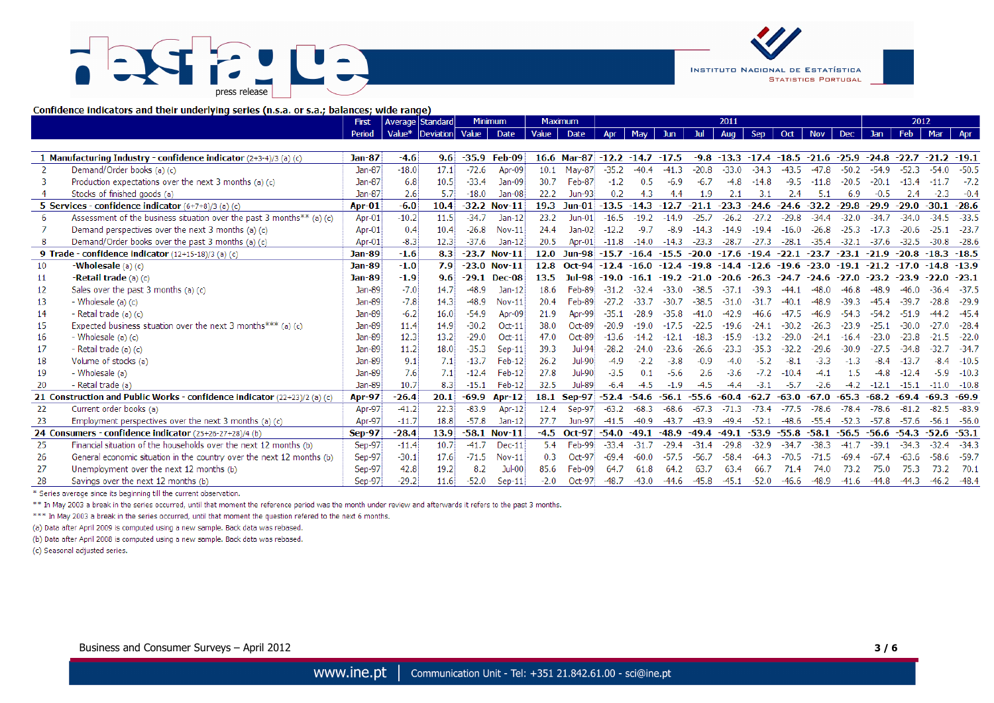# $\sqrt{2}$ press release



Confidence indicators and their underlying series (n.s.a. or s.a.; balances; wide range)

|    |                                                                           | First         | Average Standard |           |         | <b>Minimum</b> |        | <b>Maximum</b> | 2011                |         |            |         | 2012                  |            |         |            |         |                |         |                |               |
|----|---------------------------------------------------------------------------|---------------|------------------|-----------|---------|----------------|--------|----------------|---------------------|---------|------------|---------|-----------------------|------------|---------|------------|---------|----------------|---------|----------------|---------------|
|    |                                                                           | <b>Period</b> | Value*           | Deviation | Value   | Date           | Value  | Date           | Anr                 | May     | <b>Jun</b> |         | Aug                   | <b>Sep</b> | Oct     | <b>Nov</b> | Dec     | <b>Jan</b>     | Feb     | Mar            | Apr           |
|    |                                                                           |               |                  |           |         |                |        |                |                     |         |            |         |                       |            |         |            |         |                |         |                |               |
|    | 1 Manufacturing Industry - confidence indicator $(2+3-4)/3$ (a) (c)       | <b>Jan-87</b> | $-4.6$           | 9.6       | $-35.9$ | Feb-09         |        | $16.6$ Mar-87  | $-12.2 -14.7 -17.5$ |         |            |         | $-9.8 - 13.3$         | $-17.4$    | $-18.5$ | $-21.6$    | $-25.9$ | $-24.8 - 22.7$ |         | $-21.2 -19.1$  |               |
|    | Demand/Order books (a) (c)                                                | <b>Jan-87</b> | $-18.0$          | 17.1      | $-72.6$ | Apr-09         | 10.1   | May-87         | $-35.2$             | $-40.4$ | $-41.3$    | $-20.8$ | $-33.0$               | $-34.3$    | $-43.5$ | $-47.8$    | $-50.2$ | $-54.9$        | $-52.3$ | $-54.0$        | $-50.5$       |
|    | Production expectations over the next 3 months (a) (c)                    | Jan-87        | 6.8              | 10.5      | $-33.4$ | $Jan-09$       | 30.7   | Feb-87         | $-1.2$              | 0.5     | $-6.9$     | $-6.7$  | $-4.8$                | $-14.8$    | $-9.5$  | $-11.8$    | $-20.5$ | $-20.1$        | $-13.4$ | $-11.7$        | $-7.2$        |
|    | Stocks of finished goods (a)                                              | Jan-87        | 2.6              | 5.7       | $-18.0$ | $Jan-08$       | 22.2   | Jun-93         | 0.2                 | 4.3     | 4.4        | 1.9     | 2.1                   | 3.1        | 2.4     | 5.1        | 6.9     | $-0.5$         | 2.4     | $-2.3$         | $-0.4$        |
|    | 5 Services - confidence indicator (6+7+8)/3 (a) (c)                       | Apr-01        | $-6.0$           | 10.4      |         | $-32.2$ Nov-11 | 19.3   | $Jun-01$       | $-13.5$             | $-14.3$ | $-12.7$    | $-21.1$ | $-23.3$               | $-24.6$    | $-24.6$ | $-32.2$    | $-29.8$ | $-29.9$        | $-29.0$ | $-30.1$        | $-28.6$       |
| 6  | Assessment of the business situation over the past 3 months** (a) (c)     | Apr-01        | $-10.2$          | 11.5      | $-34.7$ | $Jan-12$       | 23.2   | $Jun-01$       | $-16.5$             | $-19.2$ | $-14.9$    | $-25.7$ | $-26.2$               | $-27.2$    | $-29.8$ | $-34.4$    | $-32.0$ | $-34.7$        | $-34.0$ | $-34.5$        | $-33.5$       |
|    | Demand perspectives over the next 3 months (a) (c)                        | Apr-01        | 0.4              | 10.4      | $-26.8$ | $Nov-11$       | 24.4   | $Jan-02$       | $-12.2$             | $-9.7$  | $-8.9$     | $-14.3$ | $-14.9$               | $-19.4$    | $-16.0$ | $-26.8$    | $-25.3$ | $-17.3$        | $-20.6$ |                | $-23.7$       |
|    | Demand/Order books over the past 3 months (a) (c)                         | Apr-01        | $-8.3$           | 12.3      | $-37.6$ | $Jan-12$       | 20.5   | Apr- $01$      | $-11.8$             | $-14.0$ | $-14.3$    | $-23.3$ | $-28.7$               | $-27.3$    | $-28.1$ | $-35.4$    | $-32.1$ | $-37.6$        | $-32.5$ | $-30.8$        | -28.6         |
|    | 9 Trade - confidence indicator (12+15-18)/3 (a) (c)                       | <b>Jan-89</b> | $-1.6$           | 8.3       | $-23.7$ | $Nov-11$       | 12.0   | <b>Jun-98</b>  | $-15.7$             | $-16.4$ | $-15.5$    | $-20.0$ | $-17.6$               | $-19.4$    | $-22.1$ | $-23.7$    | $-23.1$ | $-21.9$        | $-20.8$ | $-18.3$        | $-18.5$       |
| 10 | -Wholesale $(a)$ $(c)$                                                    | Jan-89        | $-1.0$           | 7.9       |         | $-23.0$ Nov-11 | 12.8   | $Oct-94$       | $-12.4$             | $-16.0$ | $-12.4$    |         | $-19.8 - 14.4 - 12.6$ |            | $-19.6$ | $-23.0$    | $-19.1$ | $-21.2 -17.0$  |         | $-14.8 - 13.9$ |               |
| 11 | $-Retail$ trade (a) (c)                                                   | Jan-89        | $-1.9$           | 9.6       | $-29.1$ | <b>Dec-08</b>  | 13.5   | Jul-98         | $-19.0$             | -16.1   | $-19.2$    | -21.0   | $-20.6$               | $-26.3$    | $-24.7$ | $-24.6$    | -27.0   | $-23.2$        | $-23.9$ |                | $-23.1$       |
| 12 | Sales over the past $3$ months (a) (c)                                    | Jan-89        | $-7.0$           | 14.7      | $-48.9$ | $Jan-12$       | 18.6   | Feb-89         | $-31.2$             | -32.4   | -33.0      | -38.5   |                       | -39.3      |         | -48.0      | $-46.8$ |                |         |                | $-37.5$       |
| 13 | - Wholesale (a) (c)                                                       | Jan-89        | $-7.8$           | 14.3      | $-48.9$ | Nov-11         | 20.4   | Feb-89         | $-27.2$             | $-33.7$ | $-30.7$    | $-38.5$ | $-31.0$               | $-31.7$    | -40.1   | $-48.9$    | -39.3   |                | -39.7   |                | $-29.9$       |
| 14 | - Retail trade (a) (c)                                                    | Jan-89        | $-6.2$           | 16.0      | $-54.9$ | Apr-09         | 21.9   | Apr-99         | $-35.1$             | $-28.9$ | $-35.8$    | $-41.0$ | $-42.9$               | $-46.6$    | $-47.5$ | $-46.9$    | $-54.3$ | $-54.2$        | $-51.9$ |                | $-45.4$       |
| 15 | Expected business situation over the next 3 months *** (a) (c)            | Jan-89        | 11.4             | 14.9      | $-30.2$ | $Oct-11$       | 38.0   | $Oct-89$       | $-20.9$             | $-19.0$ | $-17.5$    | $-22.5$ | $-19.6$               | $-24.1$    | $-30.2$ | $-26.3$    | $-23.9$ | $-25.1$        | $-30.0$ | $\Omega$       | $-28.4$       |
| 16 | - Wholesale (a) (c)                                                       | Jan-89        | 12.3             | 13.2      | $-29.0$ | $Oct-11$       | 47.0   | Oct-89         | $-13.6$             | $-14.2$ | $-12.1$    | $-18.3$ | $-15.9$               |            | $-29.0$ | $-24.1$    | $-16.4$ | $-23.0$        | $-23.8$ |                | $-22.0$       |
| 17 | - Retail trade (a) (c)                                                    | Jan-89        | 11.2             | 18.0      | $-35.3$ | $Sep-11$       | 39.3   | Jul-94         | $-28.2$             | $-24.0$ | $-23.6$    | $-26.6$ | $-23.3$               | -353       | $-32.2$ | $-29.6$    | -30.9   |                | $-34.8$ |                | $-34.$        |
| 18 | Volume of stocks (a)                                                      | Jan-89        | 9.1              | 7.1       | $-13.7$ | Feb-12         | 26.2   | Jul-90         | $-4.9$              | $-2.2$  | $-3.8$     | $-0.9$  | $-4.0$                | $-5.2$     | $-8.1$  | $-3.3$     | $-1.3$  | -8.4           | $-13.7$ |                | $-10.5$       |
| 19 | - Wholesale (a)                                                           | Jan-89        | 7.6              | 7.1       | $-12.4$ | Feb-12         | 27.8   | Jul-90         | $-3.5$              | 0.1     | $-5.6$     | 2.6     | $-3.6$                | $-7.2$     | $-10.4$ | $-4.1$     | 1.5     | $-4.8$         | $-12.4$ | $-5.9$         | $-10.3$       |
| 20 | - Retail trade (a)                                                        | Jan-89        | 10.7             | 8.3       | $-15.1$ | Feb-12         | 32.5   | Jul-89         | $-6.4$              | $-4.5$  | $-1.9$     | $-4.5$  | $-4.4$                | $-3.1$     | $-5.7$  | $-2.6$     | $-4.2$  | $-12.1$        | $-15.1$ |                | $-11.0 -10.8$ |
|    | 21 Construction and Public Works - confidence indicator (22+23)/2 (a) (c) | <b>Apr-97</b> | $-26.4$          | 20.1      | $-69.9$ | Apr- $12$      | 18.1   | <b>Sep-97</b>  | $-52.4$             | $-54.6$ | $-56.1$    | $-55.6$ | $-60.4$               | $-62.7$    | $-63.0$ | $-67.0$    | $-65.3$ | $-68.2$        | $-69.4$ | $-69.3$        | $-69.9$       |
| 22 | Current order books (a)                                                   | Apr-97        | $-41.2$          | 22.3      | $-83.9$ | Apr-12         | 12.4   | Sep-97         | $-63.2$             | $-68.3$ | $-68.6$    | $-67.3$ | $-71.3$               | $-73.4$    | $-77.5$ | $-78.6$    | $-78.4$ | $-78.6$        | $-81.2$ | $-82.5$        | $-83.9$       |
| 23 | Employment perspectives over the next 3 months (a) (c)                    | Apr-97        | $-11.7$          | 18.8      | $-57.8$ | $Jan-12$       | 27.7   | Jun-97         | $-41.5$             | -40.9   | $-43.7$    | $-43.9$ | $-49.4$               | $-52.1$    | $-48.6$ | $-55.4$    | $-52.3$ | $-57.8$        | $-57.6$ | $-56.1$        | $-56.0$       |
|    | 24 Consumers - confidence indicator (25+26-27+28)/4 (b)                   | <b>Sep-97</b> | $-28.4$          | 13.9      | $-58.1$ | $Nov-11$       | $-4.5$ | <b>Oct-97</b>  | $-54.0$             | $-49.1$ | $-48.9$    | $-49.4$ | $-49.1$               | $-53.9$    | $-55.8$ | $-58.1$    | $-56.5$ | $-56.6$        | $-54.3$ | $-52.6$        | $-53.1$       |
| 25 | Financial situation of the households over the next 12 months (b)         | Sep-97        | $-11.4$          | 10.7      | $-41.7$ | Dec-11         | 5.4    | Feb-99         | $-33.4$             | $-31.7$ | $-29.4$    | $-31.4$ | $-29.8$               | $-32.9$    | $-34.7$ | $-38.3$    | $-41.7$ | $-39.1$        | $-34.3$ | -32            | $-34.3$       |
| 26 | General economic situation in the country over the next 12 months (b)     | Sep-97        | $-30.1$          | 17.6      | $-71.5$ | $Nov-11$       | 0.3    | $Oct-97$       | $-69.4$             | -60.0   | $-57.5$    | -56.7   | $-58.4$               | $-64.3$    |         | $-71.5$    | $-69.4$ |                | $-63.6$ | .6             | $-59.7$       |
| 27 | Unemployment over the next 12 months (b)                                  | Sep-97        | 42.8             | 19.2      | 8.2     | $Jul-00$       | 85.6   | Feb-09         | 64.7                |         | 64.2       |         |                       | 66 7       |         | 74.0       | 73.2    | 75.0           | 75.3    |                | 70.1          |
| 28 | Savings over the next 12 months (b)                                       | Sep-97        | $-29.2$          | 11.6      | $-52.0$ | $Sep-11$       | $-2.0$ | Oct-97         | $-48.7$             | $-43.0$ | $-44.6$    | $-45.8$ | $-45.1$               | $-52.0$    | $-46.6$ | $-48.9$    | $-41.6$ | $-44.8$        | $-44.3$ | $-46.2$        | $-48.4$       |

\* Series average since its beginning till the current observation.

\*\* In May 2003 a break in the series occurred, until that moment the reference period was the month under review and afterwards it refers to the past 3 months.

\*\*\* In May 2003 a break in the series occurred, until that moment the question refered to the next 6 months.

(a) Data after April 2009 is computed using a new sample. Back data was rebased.

(b) Data after April 2008 is computed using a new sample. Back data was rebased.

(c) Seasonal adjusted series.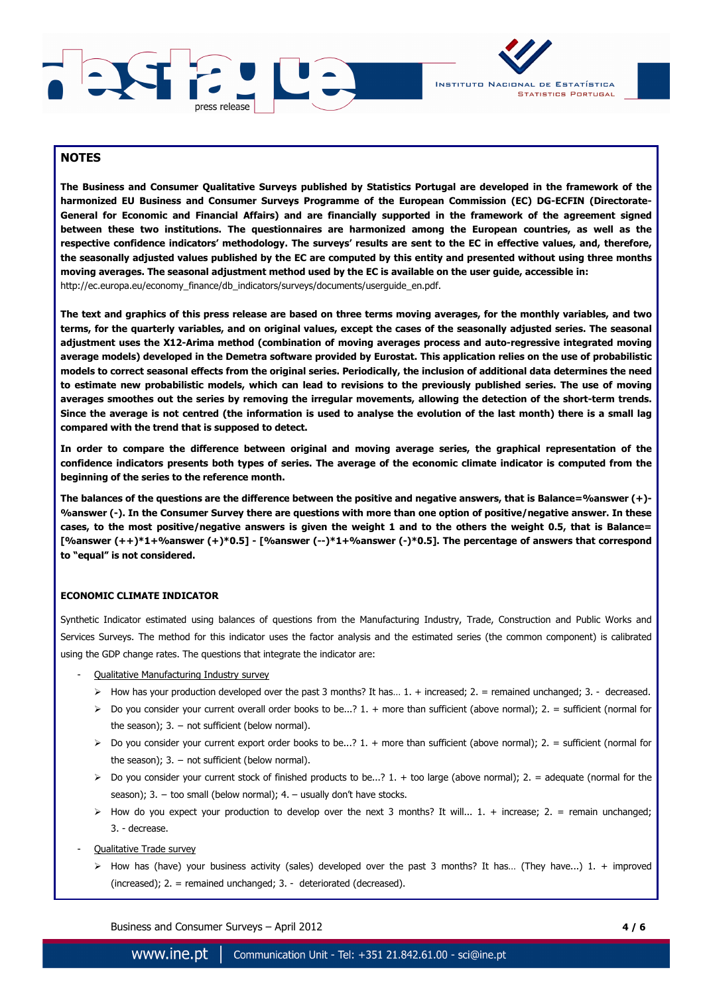



## **NOTES**

**The Business and Consumer Qualitative Surveys published by Statistics Portugal are developed in the framework of the harmonized EU Business and Consumer Surveys Programme of the European Commission (EC) DG-ECFIN (Directorate-General for Economic and Financial Affairs) and are financially supported in the framework of the agreement signed between these two institutions. The questionnaires are harmonized among the European countries, as well as the respective confidence indicators' methodology. The surveys' results are sent to the EC in effective values, and, therefore, the seasonally adjusted values published by the EC are computed by this entity and presented without using three months moving averages. The seasonal adjustment method used by the EC is available on the user guide, accessible in:**  http://ec.europa.eu/economy\_finance/db\_indicators/surveys/documents/userguide\_en.pdf.

**The text and graphics of this press release are based on three terms moving averages, for the monthly variables, and two terms, for the quarterly variables, and on original values, except the cases of the seasonally adjusted series. The seasonal adjustment uses the X12-Arima method (combination of moving averages process and auto-regressive integrated moving average models) developed in the Demetra software provided by Eurostat. This application relies on the use of probabilistic models to correct seasonal effects from the original series. Periodically, the inclusion of additional data determines the need to estimate new probabilistic models, which can lead to revisions to the previously published series. The use of moving averages smoothes out the series by removing the irregular movements, allowing the detection of the short-term trends. Since the average is not centred (the information is used to analyse the evolution of the last month) there is a small lag compared with the trend that is supposed to detect.**

**In order to compare the difference between original and moving average series, the graphical representation of the confidence indicators presents both types of series. The average of the economic climate indicator is computed from the beginning of the series to the reference month.** 

**The balances of the questions are the difference between the positive and negative answers, that is Balance=%answer (+)- %answer (-). In the Consumer Survey there are questions with more than one option of positive/negative answer. In these cases, to the most positive/negative answers is given the weight 1 and to the others the weight 0.5, that is Balance= [%answer (++)\*1+%answer (+)\*0.5] - [%answer (--)\*1+%answer (-)\*0.5]. The percentage of answers that correspond to "equal" is not considered.** 

#### **ECONOMIC CLIMATE INDICATOR**

Synthetic Indicator estimated using balances of questions from the Manufacturing Industry, Trade, Construction and Public Works and Services Surveys. The method for this indicator uses the factor analysis and the estimated series (the common component) is calibrated using the GDP change rates. The questions that integrate the indicator are:

- Qualitative Manufacturing Industry survey
	- $\triangleright$  How has your production developed over the past 3 months? It has... 1. + increased; 2. = remained unchanged; 3. decreased.
	- $\triangleright$  Do you consider your current overall order books to be...? 1. + more than sufficient (above normal); 2. = sufficient (normal for the season);  $3. -$  not sufficient (below normal).
	- Do you consider your current export order books to be...? 1. + more than sufficient (above normal); 2. = sufficient (normal for the season);  $3. -$  not sufficient (below normal).
	- $\triangleright$  Do you consider your current stock of finished products to be...? 1. + too large (above normal); 2. = adequate (normal for the season); 3. - too small (below normal); 4. - usually don't have stocks.
	- $\triangleright$  How do you expect your production to develop over the next 3 months? It will... 1. + increase; 2. = remain unchanged; 3. - decrease.
- Qualitative Trade survey
	- $\triangleright$  How has (have) your business activity (sales) developed over the past 3 months? It has... (They have...) 1. + improved (increased); 2. = remained unchanged; 3. - deteriorated (decreased).

Business and Consumer Surveys – April 2012 **4 / 6**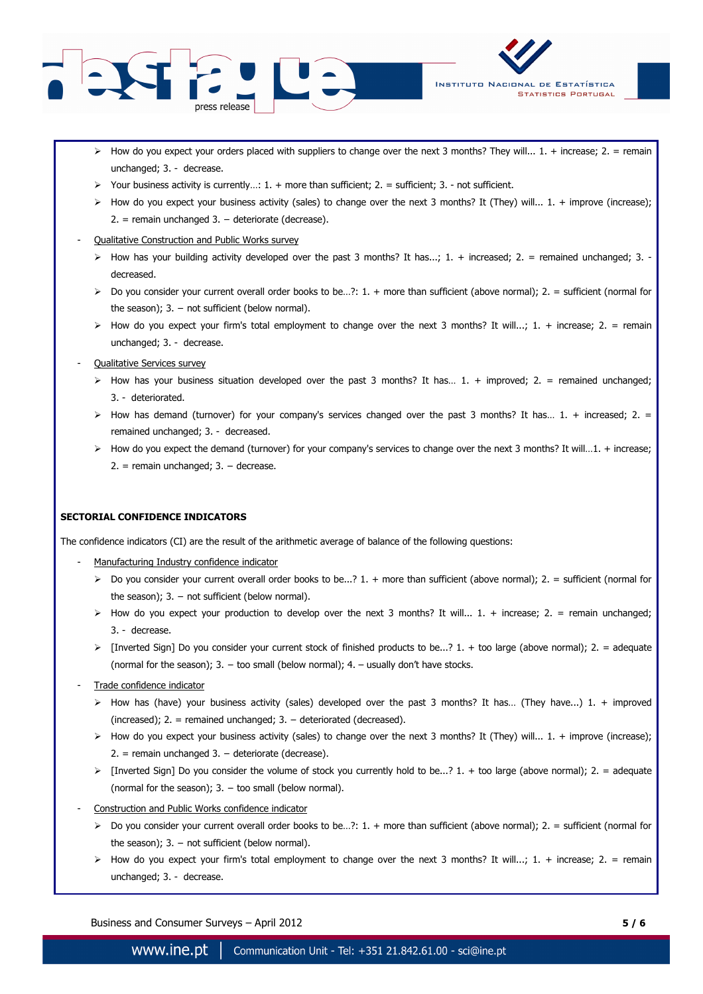



- $\triangleright$  How do you expect your orders placed with suppliers to change over the next 3 months? They will... 1. + increase; 2. = remain unchanged; 3. - decrease.
- $\triangleright$  Your business activity is currently...: 1. + more than sufficient; 2. = sufficient; 3. not sufficient.
- $\triangleright$  How do you expect your business activity (sales) to change over the next 3 months? It (They) will... 1. + improve (increase); 2. = remain unchanged 3. − deteriorate (decrease).

### Oualitative Construction and Public Works survey

- $\triangleright$  How has your building activity developed over the past 3 months? It has...; 1. + increased; 2. = remained unchanged; 3. decreased.
- $\triangleright$  Do you consider your current overall order books to be...?: 1. + more than sufficient (above normal); 2. = sufficient (normal for the season);  $3. -$  not sufficient (below normal).
- $\triangleright$  How do you expect your firm's total employment to change over the next 3 months? It will...; 1. + increase; 2. = remain unchanged; 3. - decrease.
- Qualitative Services survey
	- $\triangleright$  How has your business situation developed over the past 3 months? It has... 1. + improved; 2. = remained unchanged; 3. - deteriorated.
	- $\triangleright$  How has demand (turnover) for your company's services changed over the past 3 months? It has... 1. + increased; 2. = remained unchanged; 3. - decreased.
	- $\triangleright$  How do you expect the demand (turnover) for your company's services to change over the next 3 months? It will...1. + increase; 2. = remain unchanged; 3. − decrease.

#### **SECTORIAL CONFIDENCE INDICATORS**

The confidence indicators (CI) are the result of the arithmetic average of balance of the following questions:

- Manufacturing Industry confidence indicator
	- $\triangleright$  Do you consider your current overall order books to be...? 1. + more than sufficient (above normal); 2. = sufficient (normal for the season);  $3. -$  not sufficient (below normal).
	- $\triangleright$  How do you expect your production to develop over the next 3 months? It will... 1. + increase; 2. = remain unchanged; 3. - decrease.
	- $\triangleright$  [Inverted Sign] Do you consider your current stock of finished products to be...? 1. + too large (above normal); 2. = adequate (normal for the season);  $3. -$  too small (below normal);  $4. -$  usually don't have stocks.
- Trade confidence indicator
	- $\triangleright$  How has (have) your business activity (sales) developed over the past 3 months? It has... (They have...) 1. + improved (increased);  $2. =$  remained unchanged;  $3. -$  deteriorated (decreased).
	- $\triangleright$  How do you expect your business activity (sales) to change over the next 3 months? It (They) will... 1. + improve (increase); 2. = remain unchanged 3. − deteriorate (decrease).
	- $\triangleright$  [Inverted Sign] Do you consider the volume of stock you currently hold to be...? 1. + too large (above normal); 2. = adequate (normal for the season);  $3. -$  too small (below normal).
- Construction and Public Works confidence indicator
	- $\triangleright$  Do you consider your current overall order books to be...?: 1. + more than sufficient (above normal); 2. = sufficient (normal for the season);  $3. -$  not sufficient (below normal).
	- $\triangleright$  How do you expect your firm's total employment to change over the next 3 months? It will...; 1. + increase; 2. = remain unchanged; 3. - decrease.

Business and Consumer Surveys – April 2012 **5 / 6**